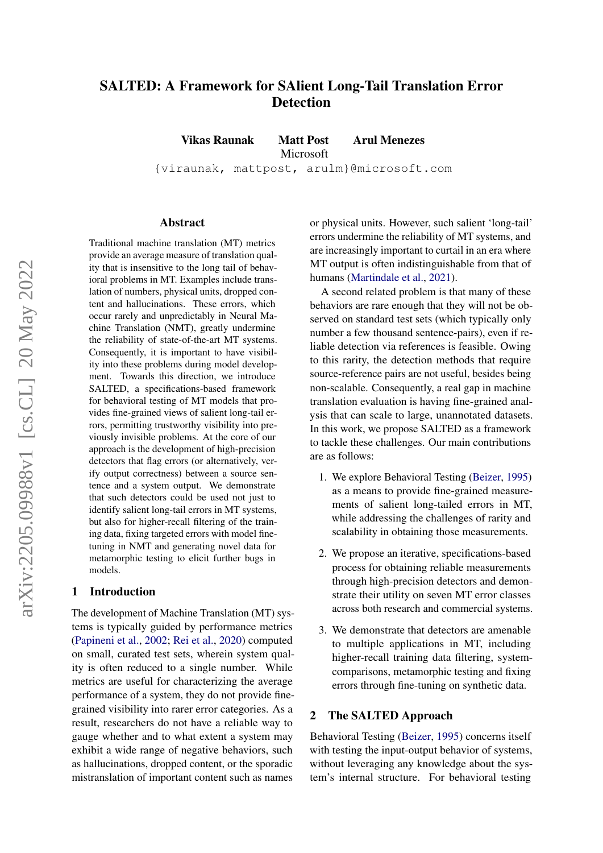# SALTED: A Framework for SAlient Long-Tail Translation Error Detection

Vikas Raunak Matt Post Arul Menezes

Microsoft

{viraunak, mattpost, arulm}@microsoft.com

#### Abstract

Traditional machine translation (MT) metrics provide an average measure of translation quality that is insensitive to the long tail of behavioral problems in MT. Examples include translation of numbers, physical units, dropped content and hallucinations. These errors, which occur rarely and unpredictably in Neural Machine Translation (NMT), greatly undermine the reliability of state-of-the-art MT systems. Consequently, it is important to have visibility into these problems during model development. Towards this direction, we introduce SALTED, a specifications-based framework for behavioral testing of MT models that provides fine-grained views of salient long-tail errors, permitting trustworthy visibility into previously invisible problems. At the core of our approach is the development of high-precision detectors that flag errors (or alternatively, verify output correctness) between a source sentence and a system output. We demonstrate that such detectors could be used not just to identify salient long-tail errors in MT systems, but also for higher-recall filtering of the training data, fixing targeted errors with model finetuning in NMT and generating novel data for metamorphic testing to elicit further bugs in models.

### 1 Introduction

The development of Machine Translation (MT) systems is typically guided by performance metrics [\(Papineni et al.,](#page-8-0) [2002;](#page-8-0) [Rei et al.,](#page-9-0) [2020\)](#page-9-0) computed on small, curated test sets, wherein system quality is often reduced to a single number. While metrics are useful for characterizing the average performance of a system, they do not provide finegrained visibility into rarer error categories. As a result, researchers do not have a reliable way to gauge whether and to what extent a system may exhibit a wide range of negative behaviors, such as hallucinations, dropped content, or the sporadic mistranslation of important content such as names

or physical units. However, such salient 'long-tail' errors undermine the reliability of MT systems, and are increasingly important to curtail in an era where MT output is often indistinguishable from that of humans [\(Martindale et al.,](#page-8-1) [2021\)](#page-8-1).

A second related problem is that many of these behaviors are rare enough that they will not be observed on standard test sets (which typically only number a few thousand sentence-pairs), even if reliable detection via references is feasible. Owing to this rarity, the detection methods that require source-reference pairs are not useful, besides being non-scalable. Consequently, a real gap in machine translation evaluation is having fine-grained analysis that can scale to large, unannotated datasets. In this work, we propose SALTED as a framework to tackle these challenges. Our main contributions are as follows:

- 1. We explore Behavioral Testing [\(Beizer,](#page-8-2) [1995\)](#page-8-2) as a means to provide fine-grained measurements of salient long-tailed errors in MT, while addressing the challenges of rarity and scalability in obtaining those measurements.
- 2. We propose an iterative, specifications-based process for obtaining reliable measurements through high-precision detectors and demonstrate their utility on seven MT error classes across both research and commercial systems.
- 3. We demonstrate that detectors are amenable to multiple applications in MT, including higher-recall training data filtering, systemcomparisons, metamorphic testing and fixing errors through fine-tuning on synthetic data.

### 2 The SALTED Approach

Behavioral Testing [\(Beizer,](#page-8-2) [1995\)](#page-8-2) concerns itself with testing the input-output behavior of systems, without leveraging any knowledge about the system's internal structure. For behavioral testing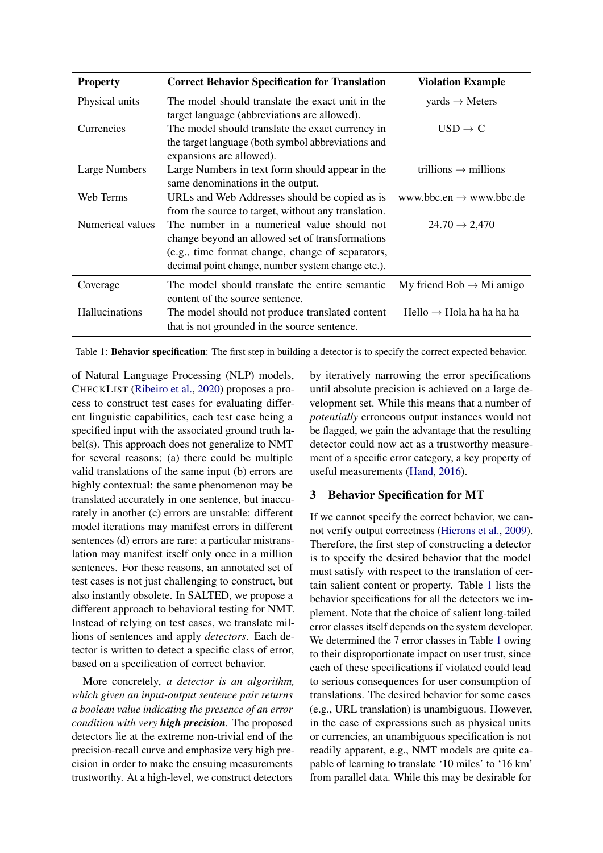<span id="page-1-0"></span>

| <b>Property</b>  | <b>Correct Behavior Specification for Translation</b>                                                                                                                                                  | <b>Violation Example</b>                 |
|------------------|--------------------------------------------------------------------------------------------------------------------------------------------------------------------------------------------------------|------------------------------------------|
| Physical units   | The model should translate the exact unit in the<br>target language (abbreviations are allowed).                                                                                                       | $\text{yards} \rightarrow \text{Meters}$ |
| Currencies       | The model should translate the exact currency in<br>the target language (both symbol abbreviations and<br>expansions are allowed).                                                                     | $USD \rightarrow \epsilon$               |
| Large Numbers    | Large Numbers in text form should appear in the<br>same denominations in the output.                                                                                                                   | trillions $\rightarrow$ millions         |
| Web Terms        | URLs and Web Addresses should be copied as is<br>from the source to target, without any translation.                                                                                                   | www.bbc.en $\rightarrow$ www.bbc.de      |
| Numerical values | The number in a numerical value should not<br>change beyond an allowed set of transformations<br>(e.g., time format change, change of separators,<br>decimal point change, number system change etc.). | $24.70 \rightarrow 2,470$                |
| Coverage         | The model should translate the entire semantic<br>content of the source sentence.                                                                                                                      | My friend Bob $\rightarrow$ Mi amigo     |
| Hallucinations   | The model should not produce translated content<br>that is not grounded in the source sentence.                                                                                                        | Hello $\rightarrow$ Hola ha ha ha ha     |

Table 1: Behavior specification: The first step in building a detector is to specify the correct expected behavior.

of Natural Language Processing (NLP) models, CHECKLIST [\(Ribeiro et al.,](#page-9-1) [2020\)](#page-9-1) proposes a process to construct test cases for evaluating different linguistic capabilities, each test case being a specified input with the associated ground truth label(s). This approach does not generalize to NMT for several reasons; (a) there could be multiple valid translations of the same input (b) errors are highly contextual: the same phenomenon may be translated accurately in one sentence, but inaccurately in another (c) errors are unstable: different model iterations may manifest errors in different sentences (d) errors are rare: a particular mistranslation may manifest itself only once in a million sentences. For these reasons, an annotated set of test cases is not just challenging to construct, but also instantly obsolete. In SALTED, we propose a different approach to behavioral testing for NMT. Instead of relying on test cases, we translate millions of sentences and apply *detectors*. Each detector is written to detect a specific class of error, based on a specification of correct behavior.

More concretely, *a detector is an algorithm, which given an input-output sentence pair returns a boolean value indicating the presence of an error condition with very high precision.* The proposed detectors lie at the extreme non-trivial end of the precision-recall curve and emphasize very high precision in order to make the ensuing measurements trustworthy. At a high-level, we construct detectors

by iteratively narrowing the error specifications until absolute precision is achieved on a large development set. While this means that a number of *potentially* erroneous output instances would not be flagged, we gain the advantage that the resulting detector could now act as a trustworthy measurement of a specific error category, a key property of useful measurements [\(Hand,](#page-8-3) [2016\)](#page-8-3).

## 3 Behavior Specification for MT

If we cannot specify the correct behavior, we cannot verify output correctness [\(Hierons et al.,](#page-8-4) [2009\)](#page-8-4). Therefore, the first step of constructing a detector is to specify the desired behavior that the model must satisfy with respect to the translation of certain salient content or property. Table [1](#page-1-0) lists the behavior specifications for all the detectors we implement. Note that the choice of salient long-tailed error classes itself depends on the system developer. We determined the 7 error classes in Table [1](#page-1-0) owing to their disproportionate impact on user trust, since each of these specifications if violated could lead to serious consequences for user consumption of translations. The desired behavior for some cases (e.g., URL translation) is unambiguous. However, in the case of expressions such as physical units or currencies, an unambiguous specification is not readily apparent, e.g., NMT models are quite capable of learning to translate '10 miles' to '16 km' from parallel data. While this may be desirable for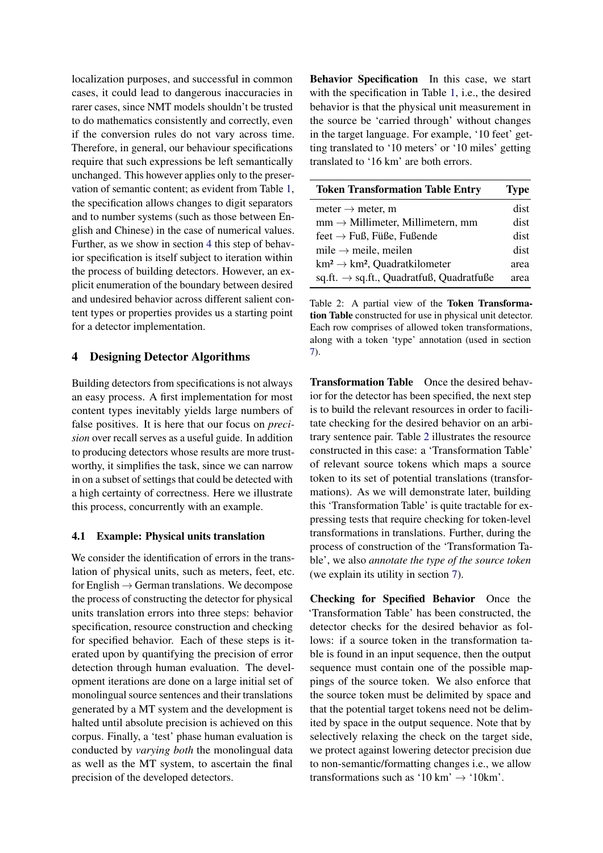localization purposes, and successful in common cases, it could lead to dangerous inaccuracies in rarer cases, since NMT models shouldn't be trusted to do mathematics consistently and correctly, even if the conversion rules do not vary across time. Therefore, in general, our behaviour specifications require that such expressions be left semantically unchanged. This however applies only to the preservation of semantic content; as evident from Table [1,](#page-1-0) the specification allows changes to digit separators and to number systems (such as those between English and Chinese) in the case of numerical values. Further, as we show in section [4](#page-2-0) this step of behavior specification is itself subject to iteration within the process of building detectors. However, an explicit enumeration of the boundary between desired and undesired behavior across different salient content types or properties provides us a starting point for a detector implementation.

### <span id="page-2-0"></span>4 Designing Detector Algorithms

Building detectors from specifications is not always an easy process. A first implementation for most content types inevitably yields large numbers of false positives. It is here that our focus on *precision* over recall serves as a useful guide. In addition to producing detectors whose results are more trustworthy, it simplifies the task, since we can narrow in on a subset of settings that could be detected with a high certainty of correctness. Here we illustrate this process, concurrently with an example.

#### 4.1 Example: Physical units translation

We consider the identification of errors in the translation of physical units, such as meters, feet, etc. for English  $\rightarrow$  German translations. We decompose the process of constructing the detector for physical units translation errors into three steps: behavior specification, resource construction and checking for specified behavior. Each of these steps is iterated upon by quantifying the precision of error detection through human evaluation. The development iterations are done on a large initial set of monolingual source sentences and their translations generated by a MT system and the development is halted until absolute precision is achieved on this corpus. Finally, a 'test' phase human evaluation is conducted by *varying both* the monolingual data as well as the MT system, to ascertain the final precision of the developed detectors.

Behavior Specification In this case, we start with the specification in Table [1,](#page-1-0) i.e., the desired behavior is that the physical unit measurement in the source be 'carried through' without changes in the target language. For example, '10 feet' getting translated to '10 meters' or '10 miles' getting translated to '16 km' are both errors.

<span id="page-2-1"></span>

| <b>Token Transformation Table Entry</b>              | <b>Type</b> |
|------------------------------------------------------|-------------|
| meter $\rightarrow$ meter, m                         | dist        |
| $mm \rightarrow$ Millimeter, Millimetern, mm         | dist        |
| feet $\rightarrow$ Fuß, Füße, Fußende                | dist        |
| mile $\rightarrow$ meile, meilen                     | dist        |
| $km^2 \rightarrow km^2$ , Quadratkilometer           | area        |
| sq.ft. $\rightarrow$ sq.ft., Quadratfuß, Quadratfuße | area        |

Table 2: A partial view of the Token Transformation Table constructed for use in physical unit detector. Each row comprises of allowed token transformations, along with a token 'type' annotation (used in section [7\)](#page-5-0).

Transformation Table Once the desired behavior for the detector has been specified, the next step is to build the relevant resources in order to facilitate checking for the desired behavior on an arbitrary sentence pair. Table [2](#page-2-1) illustrates the resource constructed in this case: a 'Transformation Table' of relevant source tokens which maps a source token to its set of potential translations (transformations). As we will demonstrate later, building this 'Transformation Table' is quite tractable for expressing tests that require checking for token-level transformations in translations. Further, during the process of construction of the 'Transformation Table', we also *annotate the type of the source token* (we explain its utility in section [7\)](#page-5-0).

Checking for Specified Behavior Once the 'Transformation Table' has been constructed, the detector checks for the desired behavior as follows: if a source token in the transformation table is found in an input sequence, then the output sequence must contain one of the possible mappings of the source token. We also enforce that the source token must be delimited by space and that the potential target tokens need not be delimited by space in the output sequence. Note that by selectively relaxing the check on the target side, we protect against lowering detector precision due to non-semantic/formatting changes i.e., we allow transformations such as '10 km'  $\rightarrow$  '10 km'.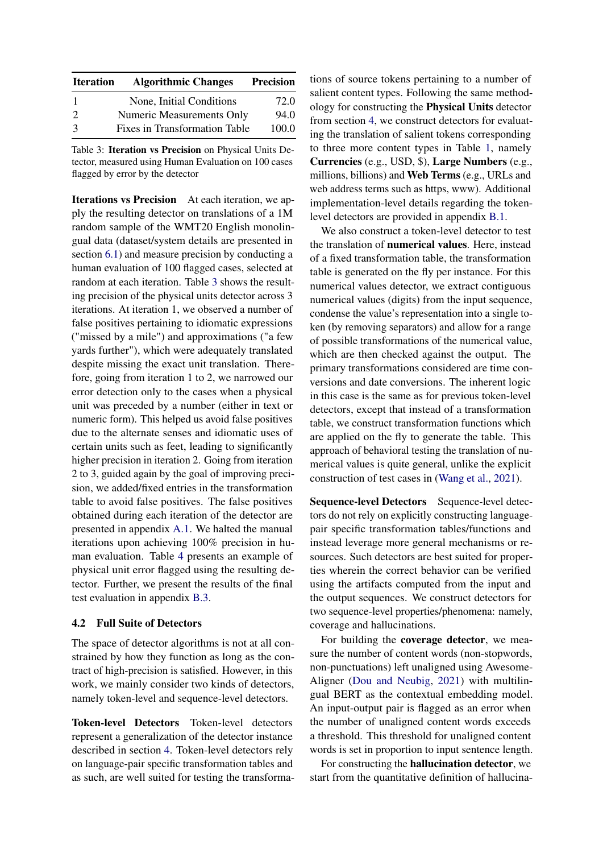<span id="page-3-0"></span>

| <b>Iteration</b> | <b>Algorithmic Changes</b>       | <b>Precision</b> |
|------------------|----------------------------------|------------------|
| -1               | None, Initial Conditions         | 72.0             |
| $\mathcal{D}$    | <b>Numeric Measurements Only</b> | 94.0             |
| $\mathcal{R}$    | Fixes in Transformation Table    | 100.0            |

Table 3: Iteration vs Precision on Physical Units Detector, measured using Human Evaluation on 100 cases flagged by error by the detector

Iterations vs Precision At each iteration, we apply the resulting detector on translations of a 1M random sample of the WMT20 English monolingual data (dataset/system details are presented in section [6.1\)](#page-4-0) and measure precision by conducting a human evaluation of 100 flagged cases, selected at random at each iteration. Table [3](#page-3-0) shows the resulting precision of the physical units detector across 3 iterations. At iteration 1, we observed a number of false positives pertaining to idiomatic expressions ("missed by a mile") and approximations ("a few yards further"), which were adequately translated despite missing the exact unit translation. Therefore, going from iteration 1 to 2, we narrowed our error detection only to the cases when a physical unit was preceded by a number (either in text or numeric form). This helped us avoid false positives due to the alternate senses and idiomatic uses of certain units such as feet, leading to significantly higher precision in iteration 2. Going from iteration 2 to 3, guided again by the goal of improving precision, we added/fixed entries in the transformation table to avoid false positives. The false positives obtained during each iteration of the detector are presented in appendix [A.1.](#page-9-2) We halted the manual iterations upon achieving 100% precision in human evaluation. Table [4](#page-4-1) presents an example of physical unit error flagged using the resulting detector. Further, we present the results of the final test evaluation in appendix [B.3.](#page-11-0)

### <span id="page-3-1"></span>4.2 Full Suite of Detectors

The space of detector algorithms is not at all constrained by how they function as long as the contract of high-precision is satisfied. However, in this work, we mainly consider two kinds of detectors, namely token-level and sequence-level detectors.

Token-level Detectors Token-level detectors represent a generalization of the detector instance described in section [4.](#page-2-0) Token-level detectors rely on language-pair specific transformation tables and as such, are well suited for testing the transformations of source tokens pertaining to a number of salient content types. Following the same methodology for constructing the Physical Units detector from section [4,](#page-2-0) we construct detectors for evaluating the translation of salient tokens corresponding to three more content types in Table [1,](#page-1-0) namely Currencies (e.g., USD, \$), Large Numbers (e.g., millions, billions) and Web Terms (e.g., URLs and web address terms such as https, www). Additional implementation-level details regarding the tokenlevel detectors are provided in appendix [B.1.](#page-9-3)

We also construct a token-level detector to test the translation of numerical values. Here, instead of a fixed transformation table, the transformation table is generated on the fly per instance. For this numerical values detector, we extract contiguous numerical values (digits) from the input sequence, condense the value's representation into a single token (by removing separators) and allow for a range of possible transformations of the numerical value, which are then checked against the output. The primary transformations considered are time conversions and date conversions. The inherent logic in this case is the same as for previous token-level detectors, except that instead of a transformation table, we construct transformation functions which are applied on the fly to generate the table. This approach of behavioral testing the translation of numerical values is quite general, unlike the explicit construction of test cases in [\(Wang et al.,](#page-9-4) [2021\)](#page-9-4).

Sequence-level Detectors Sequence-level detectors do not rely on explicitly constructing languagepair specific transformation tables/functions and instead leverage more general mechanisms or resources. Such detectors are best suited for properties wherein the correct behavior can be verified using the artifacts computed from the input and the output sequences. We construct detectors for two sequence-level properties/phenomena: namely, coverage and hallucinations.

For building the coverage detector, we measure the number of content words (non-stopwords, non-punctuations) left unaligned using Awesome-Aligner [\(Dou and Neubig,](#page-8-5) [2021\)](#page-8-5) with multilingual BERT as the contextual embedding model. An input-output pair is flagged as an error when the number of unaligned content words exceeds a threshold. This threshold for unaligned content words is set in proportion to input sentence length.

For constructing the hallucination detector, we start from the quantitative definition of hallucina-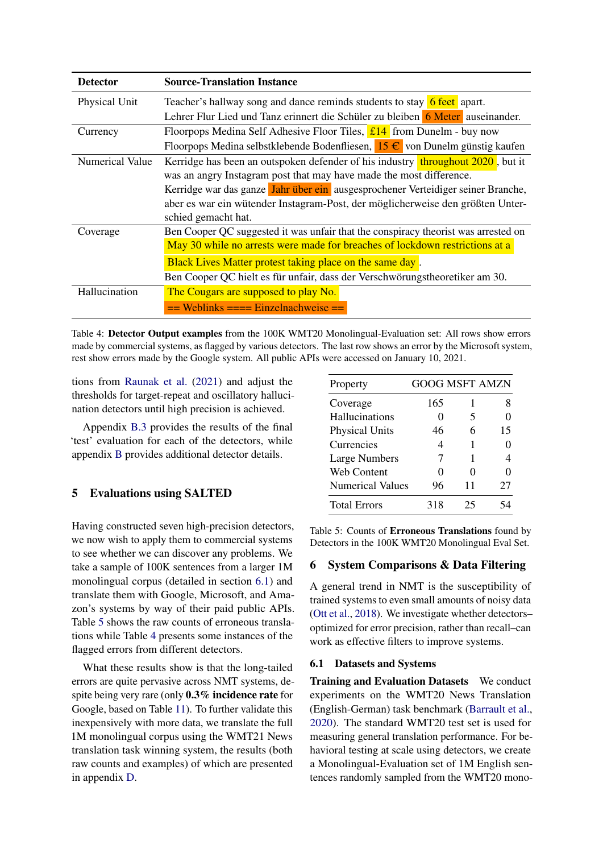<span id="page-4-1"></span>

| <b>Detector</b> | <b>Source-Translation Instance</b>                                                 |
|-----------------|------------------------------------------------------------------------------------|
| Physical Unit   | Teacher's hallway song and dance reminds students to stay 6 feet apart.            |
|                 | Lehrer Flur Lied und Tanz erinnert die Schüler zu bleiben 6 Meter auseinander.     |
| Currency        | Floorpops Medina Self Adhesive Floor Tiles, $\frac{114}{11}$ from Dunelm - buy now |
|                 | Floorpops Medina selbstklebende Bodenfliesen, 15 € von Dunelm günstig kaufen       |
| Numerical Value | Kerridge has been an outspoken defender of his industry throughout 2020, but it    |
|                 | was an angry Instagram post that may have made the most difference.                |
|                 | Kerridge war das ganze Jahr über ein ausgesprochener Verteidiger seiner Branche,   |
|                 | aber es war ein wütender Instagram-Post, der möglicherweise den größten Unter-     |
|                 | schied gemacht hat.                                                                |
| Coverage        | Ben Cooper QC suggested it was unfair that the conspiracy theorist was arrested on |
|                 | May 30 while no arrests were made for breaches of lockdown restrictions at a       |
|                 | Black Lives Matter protest taking place on the same day.                           |
|                 | Ben Cooper QC hielt es für unfair, dass der Verschwörungstheoretiker am 30.        |
| Hallucination   | The Cougars are supposed to play No.                                               |
|                 | $==$ Weblinks $==$ Einzelnachweise $==$                                            |

Table 4: Detector Output examples from the 100K WMT20 Monolingual-Evaluation set: All rows show errors made by commercial systems, as flagged by various detectors. The last row shows an error by the Microsoft system, rest show errors made by the Google system. All public APIs were accessed on January 10, 2021.

tions from [Raunak et al.](#page-8-6) [\(2021\)](#page-8-6) and adjust the thresholds for target-repeat and oscillatory hallucination detectors until high precision is achieved.

Appendix [B.3](#page-11-0) provides the results of the final 'test' evaluation for each of the detectors, while appendix [B](#page-9-5) provides additional detector details.

### <span id="page-4-3"></span>5 Evaluations using SALTED

Having constructed seven high-precision detectors, we now wish to apply them to commercial systems to see whether we can discover any problems. We take a sample of 100K sentences from a larger 1M monolingual corpus (detailed in section [6.1\)](#page-4-0) and translate them with Google, Microsoft, and Amazon's systems by way of their paid public APIs. Table [5](#page-4-2) shows the raw counts of erroneous translations while Table [4](#page-4-1) presents some instances of the flagged errors from different detectors.

What these results show is that the long-tailed errors are quite pervasive across NMT systems, despite being very rare (only 0.3% incidence rate for Google, based on Table [11\)](#page-10-0). To further validate this inexpensively with more data, we translate the full 1M monolingual corpus using the WMT21 News translation task winning system, the results (both raw counts and examples) of which are presented in appendix [D.](#page-12-0)

<span id="page-4-2"></span>

| Property                |     |                   | <b>GOOG MSFT AMZN</b> |
|-------------------------|-----|-------------------|-----------------------|
| Coverage                | 165 | 1                 | 8                     |
| Hallucinations          |     | 5                 |                       |
| <b>Physical Units</b>   | 46  | 6                 | 15                    |
| Currencies              | 4   | 1                 |                       |
| <b>Large Numbers</b>    | 7   | 1                 | 4                     |
| Web Content             |     | $\mathbf{\Omega}$ |                       |
| <b>Numerical Values</b> | 96  | 11                | 27                    |
| <b>Total Errors</b>     | 318 | 25                |                       |

Table 5: Counts of Erroneous Translations found by Detectors in the 100K WMT20 Monolingual Eval Set.

### <span id="page-4-4"></span>6 System Comparisons & Data Filtering

A general trend in NMT is the susceptibility of trained systems to even small amounts of noisy data [\(Ott et al.,](#page-8-7) [2018\)](#page-8-7). We investigate whether detectors– optimized for error precision, rather than recall–can work as effective filters to improve systems.

#### <span id="page-4-0"></span>6.1 Datasets and Systems

Training and Evaluation Datasets We conduct experiments on the WMT20 News Translation (English-German) task benchmark [\(Barrault et al.,](#page-8-8) [2020\)](#page-8-8). The standard WMT20 test set is used for measuring general translation performance. For behavioral testing at scale using detectors, we create a Monolingual-Evaluation set of 1M English sentences randomly sampled from the WMT20 mono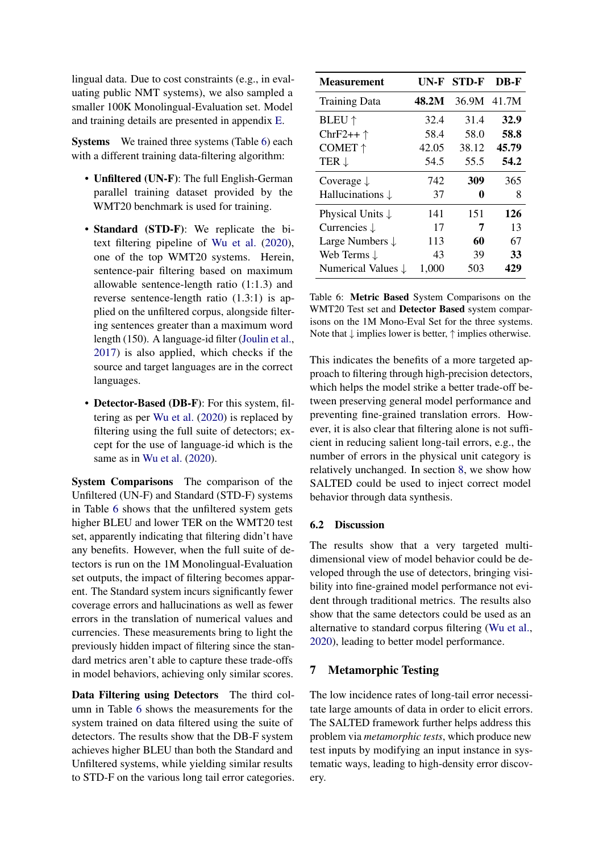lingual data. Due to cost constraints (e.g., in evaluating public NMT systems), we also sampled a smaller 100K Monolingual-Evaluation set. Model and training details are presented in appendix [E.](#page-12-1)

Systems We trained three systems (Table [6\)](#page-5-1) each with a different training data-filtering algorithm:

- Unfiltered (UN-F): The full English-German parallel training dataset provided by the WMT20 benchmark is used for training.
- Standard (STD-F): We replicate the bitext filtering pipeline of [Wu et al.](#page-9-6) [\(2020\)](#page-9-6), one of the top WMT20 systems. Herein, sentence-pair filtering based on maximum allowable sentence-length ratio (1:1.3) and reverse sentence-length ratio (1.3:1) is applied on the unfiltered corpus, alongside filtering sentences greater than a maximum word length (150). A language-id filter [\(Joulin et al.,](#page-8-9) [2017\)](#page-8-9) is also applied, which checks if the source and target languages are in the correct languages.
- Detector-Based (DB-F): For this system, filtering as per [Wu et al.](#page-9-6) [\(2020\)](#page-9-6) is replaced by filtering using the full suite of detectors; except for the use of language-id which is the same as in [Wu et al.](#page-9-6) [\(2020\)](#page-9-6).

System Comparisons The comparison of the Unfiltered (UN-F) and Standard (STD-F) systems in Table [6](#page-5-1) shows that the unfiltered system gets higher BLEU and lower TER on the WMT20 test set, apparently indicating that filtering didn't have any benefits. However, when the full suite of detectors is run on the 1M Monolingual-Evaluation set outputs, the impact of filtering becomes apparent. The Standard system incurs significantly fewer coverage errors and hallucinations as well as fewer errors in the translation of numerical values and currencies. These measurements bring to light the previously hidden impact of filtering since the standard metrics aren't able to capture these trade-offs in model behaviors, achieving only similar scores.

Data Filtering using Detectors The third column in Table [6](#page-5-1) shows the measurements for the system trained on data filtered using the suite of detectors. The results show that the DB-F system achieves higher BLEU than both the Standard and Unfiltered systems, while yielding similar results to STD-F on the various long tail error categories.

<span id="page-5-1"></span>

| <b>Measurement</b>            | UN-F  | <b>STD-F</b> | DB-F  |
|-------------------------------|-------|--------------|-------|
| <b>Training Data</b>          | 48.2M | 36.9M 41.7M  |       |
| <b>BLEU</b> $\uparrow$        | 32.4  | 31.4         | 32.9  |
| ChrF2++ $\uparrow$            | 58.4  | 58.0         | 58.8  |
| COMET ↑                       | 42.05 | 38.12        | 45.79 |
| TER $\downarrow$              | 54.5  | 55.5         | 54.2  |
| Coverage $\downarrow$         | 742   | 309          | 365   |
| Hallucinations $\downarrow$   | 37    | 0            | 8     |
| Physical Units $\downarrow$   | 141   | 151          | 126   |
| Currencies $\downarrow$       | 17    | 7            | 13    |
| Large Numbers $\downarrow$    | 113   | 60           | 67    |
| Web Terms $\downarrow$        | 43    | 39           | 33    |
| Numerical Values $\downarrow$ | 1,000 | 503          | 429   |

Table 6: Metric Based System Comparisons on the WMT20 Test set and Detector Based system comparisons on the 1M Mono-Eval Set for the three systems. Note that  $\downarrow$  implies lower is better,  $\uparrow$  implies otherwise.

This indicates the benefits of a more targeted approach to filtering through high-precision detectors, which helps the model strike a better trade-off between preserving general model performance and preventing fine-grained translation errors. However, it is also clear that filtering alone is not sufficient in reducing salient long-tail errors, e.g., the number of errors in the physical unit category is relatively unchanged. In section [8,](#page-6-0) we show how SALTED could be used to inject correct model behavior through data synthesis.

#### 6.2 Discussion

The results show that a very targeted multidimensional view of model behavior could be developed through the use of detectors, bringing visibility into fine-grained model performance not evident through traditional metrics. The results also show that the same detectors could be used as an alternative to standard corpus filtering [\(Wu et al.,](#page-9-6) [2020\)](#page-9-6), leading to better model performance.

#### <span id="page-5-0"></span>7 Metamorphic Testing

The low incidence rates of long-tail error necessitate large amounts of data in order to elicit errors. The SALTED framework further helps address this problem via *metamorphic tests*, which produce new test inputs by modifying an input instance in systematic ways, leading to high-density error discovery.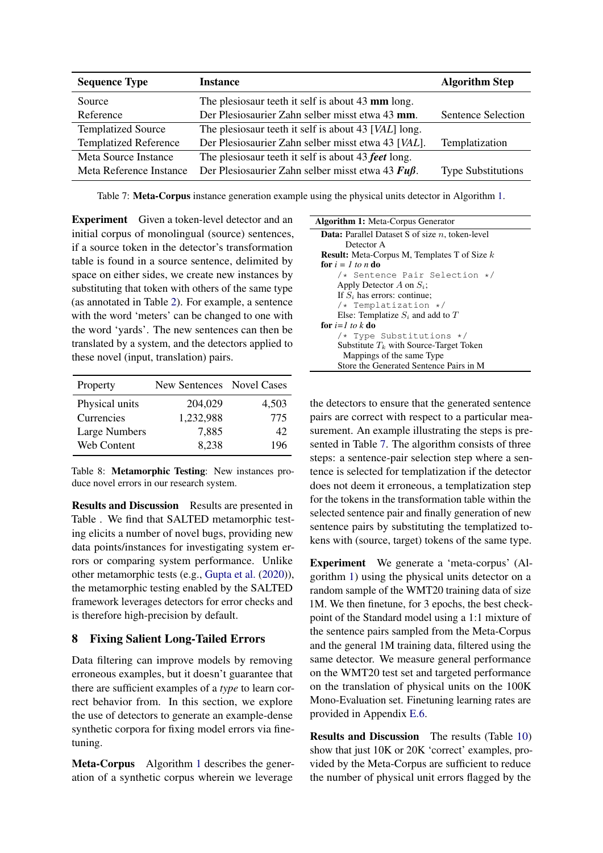<span id="page-6-2"></span>

| <b>Sequence Type</b>         | <b>Instance</b>                                         | <b>Algorithm Step</b>     |
|------------------------------|---------------------------------------------------------|---------------------------|
| Source                       | The plesiosaur teeth it self is about 43 mm long.       |                           |
| Reference                    | Der Plesiosaurier Zahn selber misst etwa 43 mm.         | Sentence Selection        |
| <b>Templatized Source</b>    | The plesiosaur teeth it self is about 43 [VAL] long.    |                           |
| <b>Templatized Reference</b> | Der Plesiosaurier Zahn selber misst etwa 43 [VAL].      | Templatization            |
| Meta Source Instance         | The plesiosaur teeth it self is about 43 feet long.     |                           |
| Meta Reference Instance      | Der Plesiosaurier Zahn selber misst etwa 43 $Fu\beta$ . | <b>Type Substitutions</b> |

Table 7: Meta-Corpus instance generation example using the physical units detector in Algorithm [1.](#page-6-1)

Experiment Given a token-level detector and an initial corpus of monolingual (source) sentences, if a source token in the detector's transformation table is found in a source sentence, delimited by space on either sides, we create new instances by substituting that token with others of the same type (as annotated in Table [2\)](#page-2-1). For example, a sentence with the word 'meters' can be changed to one with the word 'yards'. The new sentences can then be translated by a system, and the detectors applied to these novel (input, translation) pairs.

| Property             | New Sentences Novel Cases |       |
|----------------------|---------------------------|-------|
| Physical units       | 204,029                   | 4,503 |
| Currencies           | 1,232,988                 | 775   |
| <b>Large Numbers</b> | 7,885                     | 42    |
| Web Content          | 8,238                     | 196   |

Table 8: Metamorphic Testing: New instances produce novel errors in our research system.

Results and Discussion Results are presented in Table . We find that SALTED metamorphic testing elicits a number of novel bugs, providing new data points/instances for investigating system errors or comparing system performance. Unlike other metamorphic tests (e.g., [Gupta et al.](#page-8-10) [\(2020\)](#page-8-10)), the metamorphic testing enabled by the SALTED framework leverages detectors for error checks and is therefore high-precision by default.

### <span id="page-6-0"></span>8 Fixing Salient Long-Tailed Errors

Data filtering can improve models by removing erroneous examples, but it doesn't guarantee that there are sufficient examples of a *type* to learn correct behavior from. In this section, we explore the use of detectors to generate an example-dense synthetic corpora for fixing model errors via finetuning.

Meta-Corpus Algorithm [1](#page-6-1) describes the generation of a synthetic corpus wherein we leverage

| <b>Algorithm 1:</b> Meta-Corpus Generator                 |
|-----------------------------------------------------------|
| <b>Data:</b> Parallel Dataset S of size $n$ , token-level |
| Detector A                                                |
| <b>Result:</b> Meta-Corpus M, Templates T of Size k       |
| for $i = 1$ to n do                                       |
| /* Sentence Pair Selection */                             |
| Apply Detector A on $S_i$ ;                               |
| If $S_i$ has errors: continue;                            |
| $/*$ Templatization $*/$                                  |
| Else: Templatize $S_i$ and add to T                       |
| for $i=1$ to k do                                         |
| $/*$ Type Substitutions $*/$                              |
| Substitute $T_k$ with Source-Target Token                 |
| Mappings of the same Type                                 |
| Store the Generated Sentence Pairs in M                   |

<span id="page-6-1"></span>the detectors to ensure that the generated sentence pairs are correct with respect to a particular measurement. An example illustrating the steps is presented in Table [7.](#page-6-2) The algorithm consists of three steps: a sentence-pair selection step where a sentence is selected for templatization if the detector does not deem it erroneous, a templatization step for the tokens in the transformation table within the selected sentence pair and finally generation of new sentence pairs by substituting the templatized tokens with (source, target) tokens of the same type.

Experiment We generate a 'meta-corpus' (Algorithm [1\)](#page-6-1) using the physical units detector on a random sample of the WMT20 training data of size 1M. We then finetune, for 3 epochs, the best checkpoint of the Standard model using a 1:1 mixture of the sentence pairs sampled from the Meta-Corpus and the general 1M training data, filtered using the same detector. We measure general performance on the WMT20 test set and targeted performance on the translation of physical units on the 100K Mono-Evaluation set. Finetuning learning rates are provided in Appendix [E.6.](#page-13-0)

Results and Discussion The results (Table [10\)](#page-7-0) show that just 10K or 20K 'correct' examples, provided by the Meta-Corpus are sufficient to reduce the number of physical unit errors flagged by the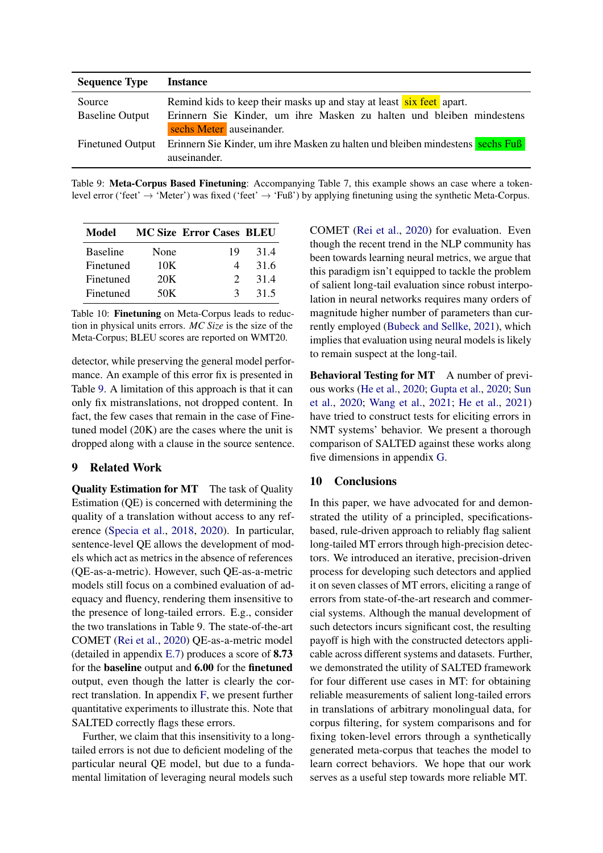<span id="page-7-1"></span>

| <b>Sequence Type</b>    | Instance                                                                                         |
|-------------------------|--------------------------------------------------------------------------------------------------|
| Source                  | Remind kids to keep their masks up and stay at least six feet apart.                             |
| <b>Baseline Output</b>  | Erinnern Sie Kinder, um ihre Masken zu halten und bleiben mindestens<br>sechs Meter auseinander. |
| <b>Finetuned Output</b> | Erinnern Sie Kinder, um ihre Masken zu halten und bleiben mindestens sechs Fuß<br>auseinander.   |

Table 9: Meta-Corpus Based Finetuning: Accompanying Table 7, this example shows an case where a tokenlevel error ('feet'  $\rightarrow$  'Meter') was fixed ('feet'  $\rightarrow$  'Fuß') by applying finetuning using the synthetic Meta-Corpus.

<span id="page-7-0"></span>

| Model           |      | <b>MC Size Error Cases BLEU</b> |      |
|-----------------|------|---------------------------------|------|
| <b>Baseline</b> | None | 19                              | 31.4 |
| Finetuned       | 10K  |                                 | 31.6 |
| Finetuned       | 20K  | $\mathcal{D}$                   | 31.4 |
| Finetuned       | 50K  | 3                               | 31.5 |

Table 10: Finetuning on Meta-Corpus leads to reduction in physical units errors. *MC Size* is the size of the Meta-Corpus; BLEU scores are reported on WMT20.

detector, while preserving the general model performance. An example of this error fix is presented in Table [9.](#page-7-1) A limitation of this approach is that it can only fix mistranslations, not dropped content. In fact, the few cases that remain in the case of Finetuned model (20K) are the cases where the unit is dropped along with a clause in the source sentence.

### 9 Related Work

Quality Estimation for MT The task of Quality Estimation (QE) is concerned with determining the quality of a translation without access to any reference [\(Specia et al.,](#page-9-7) [2018,](#page-9-7) [2020\)](#page-9-8). In particular, sentence-level QE allows the development of models which act as metrics in the absence of references (QE-as-a-metric). However, such QE-as-a-metric models still focus on a combined evaluation of adequacy and fluency, rendering them insensitive to the presence of long-tailed errors. E.g., consider the two translations in Table 9. The state-of-the-art COMET [\(Rei et al.,](#page-9-0) [2020\)](#page-9-0) QE-as-a-metric model (detailed in appendix [E.7\)](#page-13-1) produces a score of 8.73 for the baseline output and 6.00 for the finetuned output, even though the latter is clearly the correct translation. In appendix [F,](#page-13-2) we present further quantitative experiments to illustrate this. Note that SALTED correctly flags these errors.

Further, we claim that this insensitivity to a longtailed errors is not due to deficient modeling of the particular neural QE model, but due to a fundamental limitation of leveraging neural models such

COMET [\(Rei et al.,](#page-9-0) [2020\)](#page-9-0) for evaluation. Even though the recent trend in the NLP community has been towards learning neural metrics, we argue that this paradigm isn't equipped to tackle the problem of salient long-tail evaluation since robust interpolation in neural networks requires many orders of magnitude higher number of parameters than currently employed [\(Bubeck and Sellke,](#page-8-11) [2021\)](#page-8-11), which implies that evaluation using neural models is likely to remain suspect at the long-tail.

Behavioral Testing for MT A number of previous works [\(He et al.,](#page-8-12) [2020;](#page-8-12) [Gupta et al.,](#page-8-10) [2020;](#page-8-10) [Sun](#page-9-9) [et al.,](#page-9-9) [2020;](#page-9-9) [Wang et al.,](#page-9-4) [2021;](#page-9-4) [He et al.,](#page-8-13) [2021\)](#page-8-13) have tried to construct tests for eliciting errors in NMT systems' behavior. We present a thorough comparison of SALTED against these works along five dimensions in appendix [G.](#page-13-3)

### 10 Conclusions

In this paper, we have advocated for and demonstrated the utility of a principled, specificationsbased, rule-driven approach to reliably flag salient long-tailed MT errors through high-precision detectors. We introduced an iterative, precision-driven process for developing such detectors and applied it on seven classes of MT errors, eliciting a range of errors from state-of-the-art research and commercial systems. Although the manual development of such detectors incurs significant cost, the resulting payoff is high with the constructed detectors applicable across different systems and datasets. Further, we demonstrated the utility of SALTED framework for four different use cases in MT: for obtaining reliable measurements of salient long-tailed errors in translations of arbitrary monolingual data, for corpus filtering, for system comparisons and for fixing token-level errors through a synthetically generated meta-corpus that teaches the model to learn correct behaviors. We hope that our work serves as a useful step towards more reliable MT.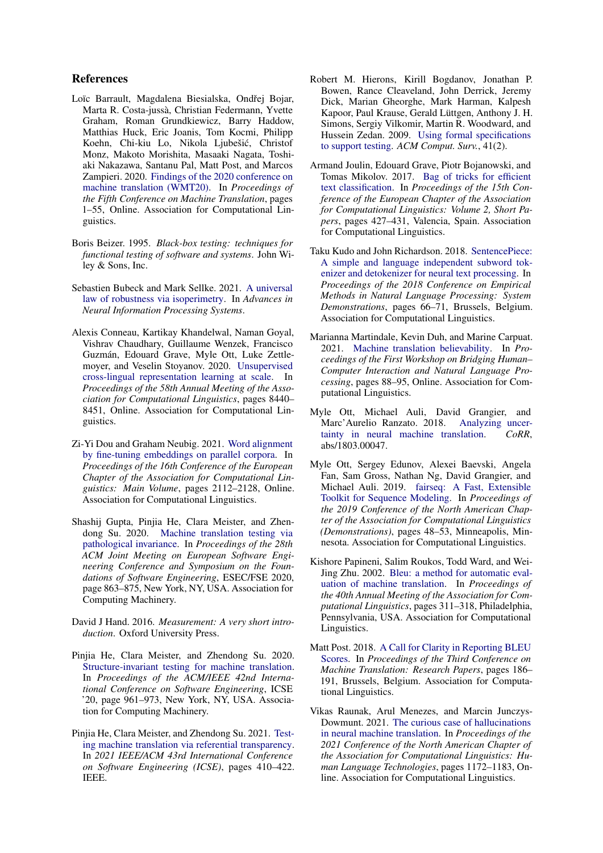### References

- <span id="page-8-8"></span>Loïc Barrault, Magdalena Biesialska, Ondřej Bojar, Marta R. Costa-jussà, Christian Federmann, Yvette Graham, Roman Grundkiewicz, Barry Haddow, Matthias Huck, Eric Joanis, Tom Kocmi, Philipp Koehn, Chi-kiu Lo, Nikola Ljubešic, Christof ´ Monz, Makoto Morishita, Masaaki Nagata, Toshiaki Nakazawa, Santanu Pal, Matt Post, and Marcos Zampieri. 2020. [Findings of the 2020 conference on](https://aclanthology.org/2020.wmt-1.1) [machine translation \(WMT20\).](https://aclanthology.org/2020.wmt-1.1) In *Proceedings of the Fifth Conference on Machine Translation*, pages 1–55, Online. Association for Computational Linguistics.
- <span id="page-8-2"></span>Boris Beizer. 1995. *Black-box testing: techniques for functional testing of software and systems*. John Wiley & Sons, Inc.
- <span id="page-8-11"></span>Sebastien Bubeck and Mark Sellke. 2021. [A universal](https://openreview.net/forum?id=z71OSKqTFh7) [law of robustness via isoperimetry.](https://openreview.net/forum?id=z71OSKqTFh7) In *Advances in Neural Information Processing Systems*.
- <span id="page-8-17"></span>Alexis Conneau, Kartikay Khandelwal, Naman Goyal, Vishrav Chaudhary, Guillaume Wenzek, Francisco Guzmán, Edouard Grave, Myle Ott, Luke Zettlemoyer, and Veselin Stoyanov. 2020. [Unsupervised](https://doi.org/10.18653/v1/2020.acl-main.747) [cross-lingual representation learning at scale.](https://doi.org/10.18653/v1/2020.acl-main.747) In *Proceedings of the 58th Annual Meeting of the Association for Computational Linguistics*, pages 8440– 8451, Online. Association for Computational Linguistics.
- <span id="page-8-5"></span>Zi-Yi Dou and Graham Neubig. 2021. [Word alignment](https://doi.org/10.18653/v1/2021.eacl-main.181) [by fine-tuning embeddings on parallel corpora.](https://doi.org/10.18653/v1/2021.eacl-main.181) In *Proceedings of the 16th Conference of the European Chapter of the Association for Computational Linguistics: Main Volume*, pages 2112–2128, Online. Association for Computational Linguistics.
- <span id="page-8-10"></span>Shashij Gupta, Pinjia He, Clara Meister, and Zhendong Su. 2020. [Machine translation testing via](https://doi.org/10.1145/3368089.3409756) [pathological invariance.](https://doi.org/10.1145/3368089.3409756) In *Proceedings of the 28th ACM Joint Meeting on European Software Engineering Conference and Symposium on the Foundations of Software Engineering*, ESEC/FSE 2020, page 863–875, New York, NY, USA. Association for Computing Machinery.
- <span id="page-8-3"></span>David J Hand. 2016. *Measurement: A very short introduction*. Oxford University Press.
- <span id="page-8-12"></span>Pinjia He, Clara Meister, and Zhendong Su. 2020. [Structure-invariant testing for machine translation.](https://doi.org/10.1145/3377811.3380339) In *Proceedings of the ACM/IEEE 42nd International Conference on Software Engineering*, ICSE '20, page 961–973, New York, NY, USA. Association for Computing Machinery.
- <span id="page-8-13"></span>Pinjia He, Clara Meister, and Zhendong Su. 2021. [Test](https://dl.acm.org/doi/abs/10.1109/ICSE43902.2021.00047)[ing machine translation via referential transparency.](https://dl.acm.org/doi/abs/10.1109/ICSE43902.2021.00047) In *2021 IEEE/ACM 43rd International Conference on Software Engineering (ICSE)*, pages 410–422. IEEE.
- <span id="page-8-4"></span>Robert M. Hierons, Kirill Bogdanov, Jonathan P. Bowen, Rance Cleaveland, John Derrick, Jeremy Dick, Marian Gheorghe, Mark Harman, Kalpesh Kapoor, Paul Krause, Gerald Lüttgen, Anthony J. H. Simons, Sergiy Vilkomir, Martin R. Woodward, and Hussein Zedan. 2009. [Using formal specifications](https://doi.org/10.1145/1459352.1459354) [to support testing.](https://doi.org/10.1145/1459352.1459354) *ACM Comput. Surv.*, 41(2).
- <span id="page-8-9"></span>Armand Joulin, Edouard Grave, Piotr Bojanowski, and Tomas Mikolov. 2017. [Bag of tricks for efficient](https://aclanthology.org/E17-2068) [text classification.](https://aclanthology.org/E17-2068) In *Proceedings of the 15th Conference of the European Chapter of the Association for Computational Linguistics: Volume 2, Short Papers*, pages 427–431, Valencia, Spain. Association for Computational Linguistics.
- <span id="page-8-15"></span>Taku Kudo and John Richardson. 2018. [SentencePiece:](https://doi.org/10.18653/v1/D18-2012) [A simple and language independent subword tok](https://doi.org/10.18653/v1/D18-2012)[enizer and detokenizer for neural text processing.](https://doi.org/10.18653/v1/D18-2012) In *Proceedings of the 2018 Conference on Empirical Methods in Natural Language Processing: System Demonstrations*, pages 66–71, Brussels, Belgium. Association for Computational Linguistics.
- <span id="page-8-1"></span>Marianna Martindale, Kevin Duh, and Marine Carpuat. 2021. [Machine translation believability.](https://aclanthology.org/2021.hcinlp-1.14) In *Proceedings of the First Workshop on Bridging Human– Computer Interaction and Natural Language Processing*, pages 88–95, Online. Association for Computational Linguistics.
- <span id="page-8-7"></span>Myle Ott, Michael Auli, David Grangier, and Marc'Aurelio Ranzato. 2018. [Analyzing uncer](http://arxiv.org/abs/1803.00047)[tainty in neural machine translation.](http://arxiv.org/abs/1803.00047) *CoRR*, abs/1803.00047.
- <span id="page-8-14"></span>Myle Ott, Sergey Edunov, Alexei Baevski, Angela Fan, Sam Gross, Nathan Ng, David Grangier, and Michael Auli. 2019. [fairseq: A Fast, Extensible](https://doi.org/10.18653/v1/N19-4009) [Toolkit for Sequence Modeling.](https://doi.org/10.18653/v1/N19-4009) In *Proceedings of the 2019 Conference of the North American Chapter of the Association for Computational Linguistics (Demonstrations)*, pages 48–53, Minneapolis, Minnesota. Association for Computational Linguistics.
- <span id="page-8-0"></span>Kishore Papineni, Salim Roukos, Todd Ward, and Wei-Jing Zhu. 2002. [Bleu: a method for automatic eval](https://doi.org/10.3115/1073083.1073135)[uation of machine translation.](https://doi.org/10.3115/1073083.1073135) In *Proceedings of the 40th Annual Meeting of the Association for Computational Linguistics*, pages 311–318, Philadelphia, Pennsylvania, USA. Association for Computational Linguistics.
- <span id="page-8-16"></span>Matt Post. 2018. [A Call for Clarity in Reporting BLEU](https://doi.org/10.18653/v1/W18-6319) [Scores.](https://doi.org/10.18653/v1/W18-6319) In *Proceedings of the Third Conference on Machine Translation: Research Papers*, pages 186– 191, Brussels, Belgium. Association for Computational Linguistics.
- <span id="page-8-6"></span>Vikas Raunak, Arul Menezes, and Marcin Junczys-Dowmunt. 2021. [The curious case of hallucinations](https://doi.org/10.18653/v1/2021.naacl-main.92) [in neural machine translation.](https://doi.org/10.18653/v1/2021.naacl-main.92) In *Proceedings of the 2021 Conference of the North American Chapter of the Association for Computational Linguistics: Human Language Technologies*, pages 1172–1183, Online. Association for Computational Linguistics.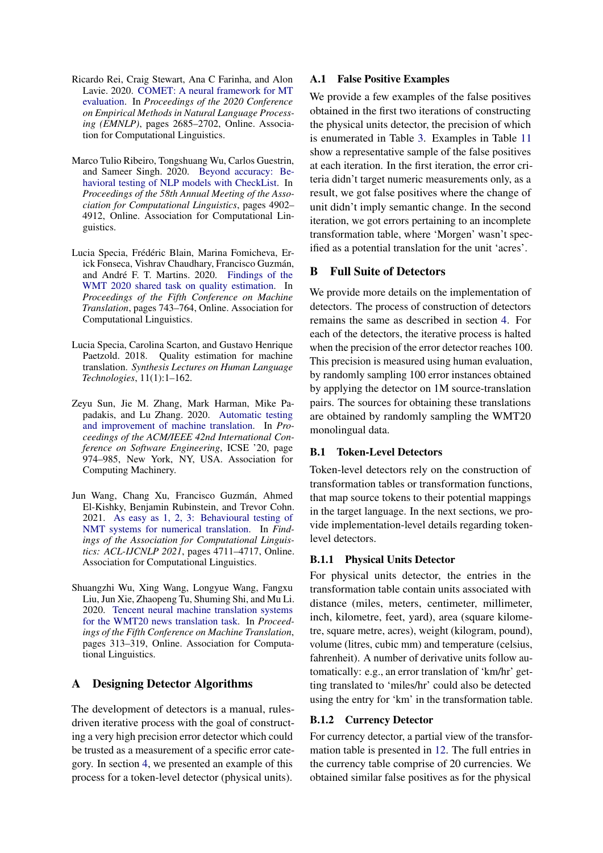- <span id="page-9-0"></span>Ricardo Rei, Craig Stewart, Ana C Farinha, and Alon Lavie. 2020. [COMET: A neural framework for MT](https://doi.org/10.18653/v1/2020.emnlp-main.213) [evaluation.](https://doi.org/10.18653/v1/2020.emnlp-main.213) In *Proceedings of the 2020 Conference on Empirical Methods in Natural Language Processing (EMNLP)*, pages 2685–2702, Online. Association for Computational Linguistics.
- <span id="page-9-1"></span>Marco Tulio Ribeiro, Tongshuang Wu, Carlos Guestrin, and Sameer Singh. 2020. [Beyond accuracy: Be](https://doi.org/10.18653/v1/2020.acl-main.442)[havioral testing of NLP models with CheckList.](https://doi.org/10.18653/v1/2020.acl-main.442) In *Proceedings of the 58th Annual Meeting of the Association for Computational Linguistics*, pages 4902– 4912, Online. Association for Computational Linguistics.
- <span id="page-9-8"></span>Lucia Specia, Frédéric Blain, Marina Fomicheva, Erick Fonseca, Vishrav Chaudhary, Francisco Guzmán, and André F. T. Martins. 2020. [Findings of the](https://www.aclweb.org/anthology/2020.wmt-1.79) [WMT 2020 shared task on quality estimation.](https://www.aclweb.org/anthology/2020.wmt-1.79) In *Proceedings of the Fifth Conference on Machine Translation*, pages 743–764, Online. Association for Computational Linguistics.
- <span id="page-9-7"></span>Lucia Specia, Carolina Scarton, and Gustavo Henrique Paetzold. 2018. Quality estimation for machine translation. *Synthesis Lectures on Human Language Technologies*, 11(1):1–162.
- <span id="page-9-9"></span>Zeyu Sun, Jie M. Zhang, Mark Harman, Mike Papadakis, and Lu Zhang. 2020. [Automatic testing](https://doi.org/10.1145/3377811.3380420) [and improvement of machine translation.](https://doi.org/10.1145/3377811.3380420) In *Proceedings of the ACM/IEEE 42nd International Conference on Software Engineering*, ICSE '20, page 974–985, New York, NY, USA. Association for Computing Machinery.
- <span id="page-9-4"></span>Jun Wang, Chang Xu, Francisco Guzmán, Ahmed El-Kishky, Benjamin Rubinstein, and Trevor Cohn. 2021. [As easy as 1, 2, 3: Behavioural testing of](https://doi.org/10.18653/v1/2021.findings-acl.415) [NMT systems for numerical translation.](https://doi.org/10.18653/v1/2021.findings-acl.415) In *Findings of the Association for Computational Linguistics: ACL-IJCNLP 2021*, pages 4711–4717, Online. Association for Computational Linguistics.
- <span id="page-9-6"></span>Shuangzhi Wu, Xing Wang, Longyue Wang, Fangxu Liu, Jun Xie, Zhaopeng Tu, Shuming Shi, and Mu Li. 2020. [Tencent neural machine translation systems](https://aclanthology.org/2020.wmt-1.34) [for the WMT20 news translation task.](https://aclanthology.org/2020.wmt-1.34) In *Proceedings of the Fifth Conference on Machine Translation*, pages 313–319, Online. Association for Computational Linguistics.

## <span id="page-9-10"></span>A Designing Detector Algorithms

The development of detectors is a manual, rulesdriven iterative process with the goal of constructing a very high precision error detector which could be trusted as a measurement of a specific error category. In section [4,](#page-2-0) we presented an example of this process for a token-level detector (physical units).

### <span id="page-9-2"></span>A.1 False Positive Examples

We provide a few examples of the false positives obtained in the first two iterations of constructing the physical units detector, the precision of which is enumerated in Table [3.](#page-3-0) Examples in Table [11](#page-10-0) show a representative sample of the false positives at each iteration. In the first iteration, the error criteria didn't target numeric measurements only, as a result, we got false positives where the change of unit didn't imply semantic change. In the second iteration, we got errors pertaining to an incomplete transformation table, where 'Morgen' wasn't specified as a potential translation for the unit 'acres'.

### <span id="page-9-5"></span>B Full Suite of Detectors

We provide more details on the implementation of detectors. The process of construction of detectors remains the same as described in section [4.](#page-2-0) For each of the detectors, the iterative process is halted when the precision of the error detector reaches 100. This precision is measured using human evaluation, by randomly sampling 100 error instances obtained by applying the detector on 1M source-translation pairs. The sources for obtaining these translations are obtained by randomly sampling the WMT20 monolingual data.

### <span id="page-9-3"></span>B.1 Token-Level Detectors

Token-level detectors rely on the construction of transformation tables or transformation functions, that map source tokens to their potential mappings in the target language. In the next sections, we provide implementation-level details regarding tokenlevel detectors.

### B.1.1 Physical Units Detector

For physical units detector, the entries in the transformation table contain units associated with distance (miles, meters, centimeter, millimeter, inch, kilometre, feet, yard), area (square kilometre, square metre, acres), weight (kilogram, pound), volume (litres, cubic mm) and temperature (celsius, fahrenheit). A number of derivative units follow automatically: e.g., an error translation of 'km/hr' getting translated to 'miles/hr' could also be detected using the entry for 'km' in the transformation table.

### B.1.2 Currency Detector

For currency detector, a partial view of the transformation table is presented in [12.](#page-10-1) The full entries in the currency table comprise of 20 currencies. We obtained similar false positives as for the physical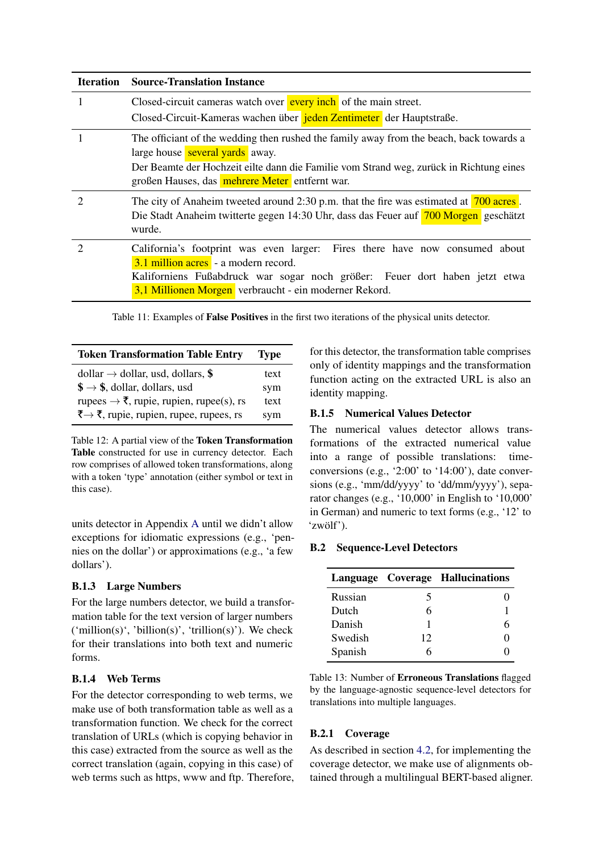<span id="page-10-0"></span>

| <b>Iteration</b> | <b>Source-Translation Instance</b>                                                                                                                                                                                                                                      |
|------------------|-------------------------------------------------------------------------------------------------------------------------------------------------------------------------------------------------------------------------------------------------------------------------|
|                  | Closed-circuit cameras watch over <b>every inch</b> of the main street.<br>Closed-Circuit-Kameras wachen über jeden Zentimeter der Hauptstraße.                                                                                                                         |
|                  | The officiant of the wedding then rushed the family away from the beach, back towards a<br>large house several yards away.<br>Der Beamte der Hochzeit eilte dann die Familie vom Strand weg, zurück in Richtung eines<br>großen Hauses, das mehrere Meter entfernt war. |
| 2                | The city of Anaheim tweeted around 2:30 p.m. that the fire was estimated at 700 acres.<br>Die Stadt Anaheim twitterte gegen 14:30 Uhr, dass das Feuer auf 700 Morgen geschätzt<br>wurde.                                                                                |
| 2                | California's footprint was even larger: Fires there have now consumed about<br>3.1 million acres - a modern record.<br>Kaliforniens Fußabdruck war sogar noch größer: Feuer dort haben jetzt etwa<br>3,1 Millionen Morgen verbraucht - ein moderner Rekord.             |

Table 11: Examples of False Positives in the first two iterations of the physical units detector.

<span id="page-10-1"></span>

| <b>Token Transformation Table Entry</b>                | <b>Type</b> |
|--------------------------------------------------------|-------------|
| dollar $\rightarrow$ dollar, usd, dollars, \$          | text        |
| $\$\rightarrow\$\,$ , dollar, dollars, usd             | sym         |
| rupees $\rightarrow \xi$ , rupie, rupien, rupee(s), rs | text        |
| ₹ → ₹, rupie, rupien, rupee, rupees, rs                | sym         |

Table 12: A partial view of the Token Transformation Table constructed for use in currency detector. Each row comprises of allowed token transformations, along with a token 'type' annotation (either symbol or text in this case).

units detector in Appendix [A](#page-9-10) until we didn't allow exceptions for idiomatic expressions (e.g., 'pennies on the dollar') or approximations (e.g., 'a few dollars').

## B.1.3 Large Numbers

For the large numbers detector, we build a transformation table for the text version of larger numbers  $('million(s)', 'billion(s)', 'trillion(s)').$  We check for their translations into both text and numeric forms.

## B.1.4 Web Terms

For the detector corresponding to web terms, we make use of both transformation table as well as a transformation function. We check for the correct translation of URLs (which is copying behavior in this case) extracted from the source as well as the correct translation (again, copying in this case) of web terms such as https, www and ftp. Therefore, for this detector, the transformation table comprises only of identity mappings and the transformation function acting on the extracted URL is also an identity mapping.

## B.1.5 Numerical Values Detector

The numerical values detector allows transformations of the extracted numerical value into a range of possible translations: timeconversions (e.g., '2:00' to '14:00'), date conversions (e.g., 'mm/dd/yyyy' to 'dd/mm/yyyy'), separator changes (e.g., '10,000' in English to '10,000' in German) and numeric to text forms (e.g., '12' to 'zwölf').

## B.2 Sequence-Level Detectors

<span id="page-10-2"></span>

|         |    | Language Coverage Hallucinations |
|---------|----|----------------------------------|
| Russian | 5  |                                  |
| Dutch   | 6  |                                  |
| Danish  |    |                                  |
| Swedish | 12 |                                  |
| Spanish | 6  |                                  |

Table 13: Number of Erroneous Translations flagged by the language-agnostic sequence-level detectors for translations into multiple languages.

## B.2.1 Coverage

As described in section [4.2,](#page-3-1) for implementing the coverage detector, we make use of alignments obtained through a multilingual BERT-based aligner.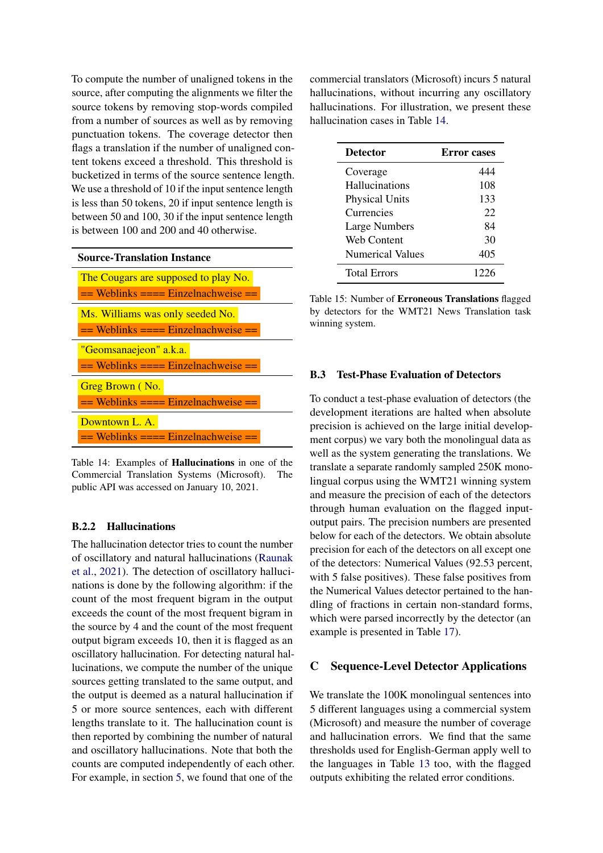To compute the number of unaligned tokens in the source, after computing the alignments we filter the source tokens by removing stop-words compiled from a number of sources as well as by removing punctuation tokens. The coverage detector then flags a translation if the number of unaligned content tokens exceed a threshold. This threshold is bucketized in terms of the source sentence length. We use a threshold of 10 if the input sentence length is less than 50 tokens, 20 if input sentence length is between 50 and 100, 30 if the input sentence length is between 100 and 200 and 40 otherwise.

<span id="page-11-1"></span>

| The Cougars are supposed to play No.    |
|-----------------------------------------|
| $==$ Weblinks $==$ Einzelnachweise $==$ |
| Ms. Williams was only seeded No.        |
| $==$ Weblinks $==$ Einzelnachweise $==$ |
| "Geomsanaejeon" a.k.a.                  |
| $==$ Weblinks $==$ Einzelnachweise $==$ |
| Greg Brown (No.                         |
| $==$ Weblinks $==$ Einzelnachweise $==$ |
| Downtown L. A.                          |
| $==$ Weblinks $==$ Einzelnachweise $==$ |

Table 14: Examples of Hallucinations in one of the Commercial Translation Systems (Microsoft). The public API was accessed on January 10, 2021.

### B.2.2 Hallucinations

The hallucination detector tries to count the number of oscillatory and natural hallucinations [\(Raunak](#page-8-6) [et al.,](#page-8-6) [2021\)](#page-8-6). The detection of oscillatory hallucinations is done by the following algorithm: if the count of the most frequent bigram in the output exceeds the count of the most frequent bigram in the source by 4 and the count of the most frequent output bigram exceeds 10, then it is flagged as an oscillatory hallucination. For detecting natural hallucinations, we compute the number of the unique sources getting translated to the same output, and the output is deemed as a natural hallucination if 5 or more source sentences, each with different lengths translate to it. The hallucination count is then reported by combining the number of natural and oscillatory hallucinations. Note that both the counts are computed independently of each other. For example, in section [5,](#page-4-3) we found that one of the

commercial translators (Microsoft) incurs 5 natural hallucinations, without incurring any oscillatory hallucinations. For illustration, we present these hallucination cases in Table [14.](#page-11-1)

<span id="page-11-2"></span>

| <b>Detector</b>         | <b>Error</b> cases |
|-------------------------|--------------------|
| Coverage                | 444                |
| Hallucinations          | 108                |
| <b>Physical Units</b>   | 133                |
| Currencies              | 22                 |
| Large Numbers           | 84                 |
| Web Content             | 30                 |
| <b>Numerical Values</b> | 405                |
| <b>Total Errors</b>     | 1226               |

Table 15: Number of Erroneous Translations flagged by detectors for the WMT21 News Translation task winning system.

#### <span id="page-11-0"></span>B.3 Test-Phase Evaluation of Detectors

To conduct a test-phase evaluation of detectors (the development iterations are halted when absolute precision is achieved on the large initial development corpus) we vary both the monolingual data as well as the system generating the translations. We translate a separate randomly sampled 250K monolingual corpus using the WMT21 winning system and measure the precision of each of the detectors through human evaluation on the flagged inputoutput pairs. The precision numbers are presented below for each of the detectors. We obtain absolute precision for each of the detectors on all except one of the detectors: Numerical Values (92.53 percent, with 5 false positives). These false positives from the Numerical Values detector pertained to the handling of fractions in certain non-standard forms, which were parsed incorrectly by the detector (an example is presented in Table [17\)](#page-13-4).

### C Sequence-Level Detector Applications

We translate the 100K monolingual sentences into 5 different languages using a commercial system (Microsoft) and measure the number of coverage and hallucination errors. We find that the same thresholds used for English-German apply well to the languages in Table [13](#page-10-2) too, with the flagged outputs exhibiting the related error conditions.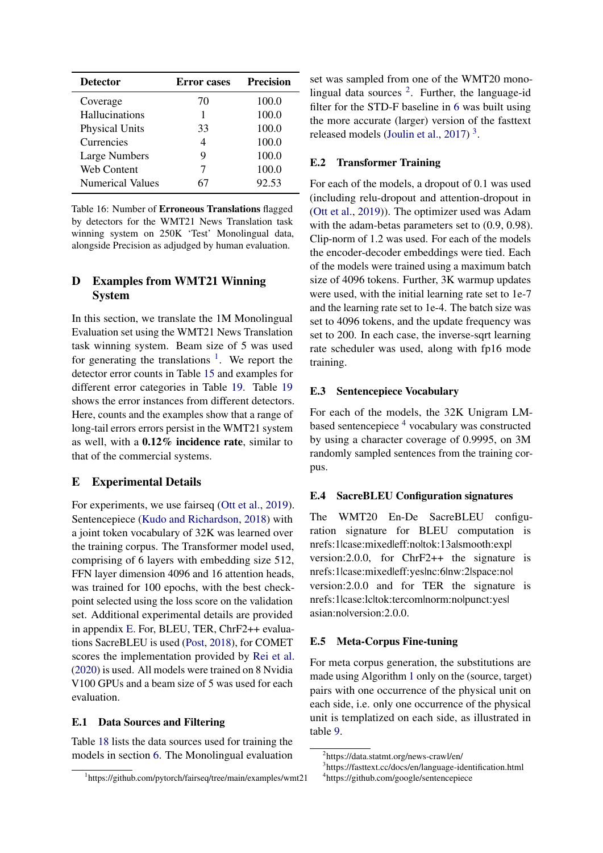| <b>Detector</b>         | <b>Error</b> cases | <b>Precision</b> |
|-------------------------|--------------------|------------------|
| Coverage                | 70                 | 100.0            |
| Hallucinations          |                    | 100.0            |
| <b>Physical Units</b>   | 33                 | 100.0            |
| Currencies              | 4                  | 100.0            |
| <b>Large Numbers</b>    | y                  | 100.0            |
| <b>Web Content</b>      |                    | 100.0            |
| <b>Numerical Values</b> |                    | 92.53            |

Table 16: Number of Erroneous Translations flagged by detectors for the WMT21 News Translation task winning system on 250K 'Test' Monolingual data, alongside Precision as adjudged by human evaluation.

## <span id="page-12-0"></span>D Examples from WMT21 Winning System

In this section, we translate the 1M Monolingual Evaluation set using the WMT21 News Translation task winning system. Beam size of 5 was used for generating the translations  $\frac{1}{1}$  $\frac{1}{1}$  $\frac{1}{1}$ . We report the detector error counts in Table [15](#page-11-2) and examples for different error categories in Table [19.](#page-14-0) Table [19](#page-14-0) shows the error instances from different detectors. Here, counts and the examples show that a range of long-tail errors errors persist in the WMT21 system as well, with a 0.12% incidence rate, similar to that of the commercial systems.

## <span id="page-12-1"></span>E Experimental Details

For experiments, we use fairseq [\(Ott et al.,](#page-8-14) [2019\)](#page-8-14). Sentencepiece [\(Kudo and Richardson,](#page-8-15) [2018\)](#page-8-15) with a joint token vocabulary of 32K was learned over the training corpus. The Transformer model used, comprising of 6 layers with embedding size 512, FFN layer dimension 4096 and 16 attention heads, was trained for 100 epochs, with the best checkpoint selected using the loss score on the validation set. Additional experimental details are provided in appendix [E.](#page-12-1) For, BLEU, TER, ChrF2++ evaluations SacreBLEU is used [\(Post,](#page-8-16) [2018\)](#page-8-16), for COMET scores the implementation provided by [Rei et al.](#page-9-0) [\(2020\)](#page-9-0) is used. All models were trained on 8 Nvidia V100 GPUs and a beam size of 5 was used for each evaluation.

### E.1 Data Sources and Filtering

Table [18](#page-13-5) lists the data sources used for training the models in section [6.](#page-4-4) The Monolingual evaluation set was sampled from one of the WMT20 monolingual data sources  $2$ . Further, the language-id filter for the STD-F baseline in [6](#page-4-4) was built using the more accurate (larger) version of the fasttext released models [\(Joulin et al.,](#page-8-9) [2017\)](#page-8-9)<sup>[3](#page-12-4)</sup>.

## <span id="page-12-6"></span>E.2 Transformer Training

For each of the models, a dropout of 0.1 was used (including relu-dropout and attention-dropout in [\(Ott et al.,](#page-8-14) [2019\)](#page-8-14)). The optimizer used was Adam with the adam-betas parameters set to  $(0.9, 0.98)$ . Clip-norm of 1.2 was used. For each of the models the encoder-decoder embeddings were tied. Each of the models were trained using a maximum batch size of 4096 tokens. Further, 3K warmup updates were used, with the initial learning rate set to 1e-7 and the learning rate set to 1e-4. The batch size was set to 4096 tokens, and the update frequency was set to 200. In each case, the inverse-sqrt learning rate scheduler was used, along with fp16 mode training.

## E.3 Sentencepiece Vocabulary

For each of the models, the 32K Unigram LMbased sentencepiece [4](#page-12-5) vocabulary was constructed by using a character coverage of 0.9995, on 3M randomly sampled sentences from the training corpus.

### E.4 SacreBLEU Configuration signatures

The WMT20 En-De SacreBLEU configuration signature for BLEU computation is nrefs:1|case:mixed|eff:no|tok:13a|smooth:exp| version:2.0.0, for ChrF2++ the signature is nrefs:1|case:mixed|eff:yes|nc:6|nw:2|space:no| version:2.0.0 and for TER the signature is nrefs:1|case:lc|tok:tercom|norm:no|punct:yes| asian:no|version:2.0.0.

### E.5 Meta-Corpus Fine-tuning

For meta corpus generation, the substitutions are made using Algorithm [1](#page-6-1) only on the (source, target) pairs with one occurrence of the physical unit on each side, i.e. only one occurrence of the physical unit is templatized on each side, as illustrated in table [9.](#page-7-1)

<span id="page-12-2"></span><sup>1</sup> https://github.com/pytorch/fairseq/tree/main/examples/wmt21

<span id="page-12-3"></span><sup>2</sup> https://data.statmt.org/news-crawl/en/

<span id="page-12-4"></span><sup>3</sup> https://fasttext.cc/docs/en/language-identification.html

<span id="page-12-5"></span><sup>4</sup> https://github.com/google/sentencepiece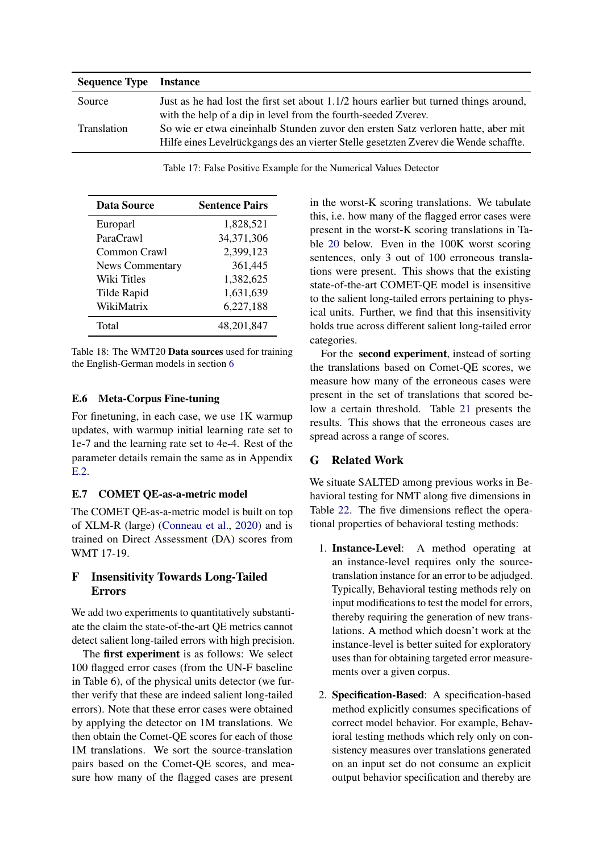<span id="page-13-4"></span>

| <b>Sequence Type Instance</b> |                                                                                       |
|-------------------------------|---------------------------------------------------------------------------------------|
| Source                        | Just as he had lost the first set about 1.1/2 hours earlier but turned things around, |
|                               | with the help of a dip in level from the fourth-seeded Zverey.                        |
| Translation                   | So wie er etwa eineinhalb Stunden zuvor den ersten Satz verloren hatte, aber mit      |
|                               | Hilfe eines Levelrückgangs des an vierter Stelle gesetzten Zverev die Wende schaffte. |

Table 17: False Positive Example for the Numerical Values Detector

<span id="page-13-5"></span>

| Data Source            | <b>Sentence Pairs</b> |
|------------------------|-----------------------|
| Europarl               | 1,828,521             |
| ParaCrawl              | 34,371,306            |
| Common Crawl           | 2,399,123             |
| <b>News Commentary</b> | 361,445               |
| Wiki Titles            | 1,382,625             |
| Tilde Rapid            | 1,631,639             |
| WikiMatrix             | 6,227,188             |
| Total                  | 48,201,847            |

Table 18: The WMT20 Data sources used for training the English-German models in section [6](#page-4-4)

## <span id="page-13-0"></span>E.6 Meta-Corpus Fine-tuning

For finetuning, in each case, we use 1K warmup updates, with warmup initial learning rate set to 1e-7 and the learning rate set to 4e-4. Rest of the parameter details remain the same as in Appendix [E.2.](#page-12-6)

## <span id="page-13-1"></span>E.7 COMET QE-as-a-metric model

The COMET QE-as-a-metric model is built on top of XLM-R (large) [\(Conneau et al.,](#page-8-17) [2020\)](#page-8-17) and is trained on Direct Assessment (DA) scores from WMT 17-19.

## <span id="page-13-2"></span>F Insensitivity Towards Long-Tailed Errors

We add two experiments to quantitatively substantiate the claim the state-of-the-art QE metrics cannot detect salient long-tailed errors with high precision.

The first experiment is as follows: We select 100 flagged error cases (from the UN-F baseline in Table 6), of the physical units detector (we further verify that these are indeed salient long-tailed errors). Note that these error cases were obtained by applying the detector on 1M translations. We then obtain the Comet-QE scores for each of those 1M translations. We sort the source-translation pairs based on the Comet-QE scores, and measure how many of the flagged cases are present in the worst-K scoring translations. We tabulate this, i.e. how many of the flagged error cases were present in the worst-K scoring translations in Table [20](#page-15-0) below. Even in the 100K worst scoring sentences, only 3 out of 100 erroneous translations were present. This shows that the existing state-of-the-art COMET-QE model is insensitive to the salient long-tailed errors pertaining to physical units. Further, we find that this insensitivity holds true across different salient long-tailed error categories.

For the second experiment, instead of sorting the translations based on Comet-QE scores, we measure how many of the erroneous cases were present in the set of translations that scored below a certain threshold. Table [21](#page-15-1) presents the results. This shows that the erroneous cases are spread across a range of scores.

# <span id="page-13-3"></span>G Related Work

We situate SALTED among previous works in Behavioral testing for NMT along five dimensions in Table [22.](#page-16-0) The five dimensions reflect the operational properties of behavioral testing methods:

- 1. Instance-Level: A method operating at an instance-level requires only the sourcetranslation instance for an error to be adjudged. Typically, Behavioral testing methods rely on input modifications to test the model for errors, thereby requiring the generation of new translations. A method which doesn't work at the instance-level is better suited for exploratory uses than for obtaining targeted error measurements over a given corpus.
- 2. Specification-Based: A specification-based method explicitly consumes specifications of correct model behavior. For example, Behavioral testing methods which rely only on consistency measures over translations generated on an input set do not consume an explicit output behavior specification and thereby are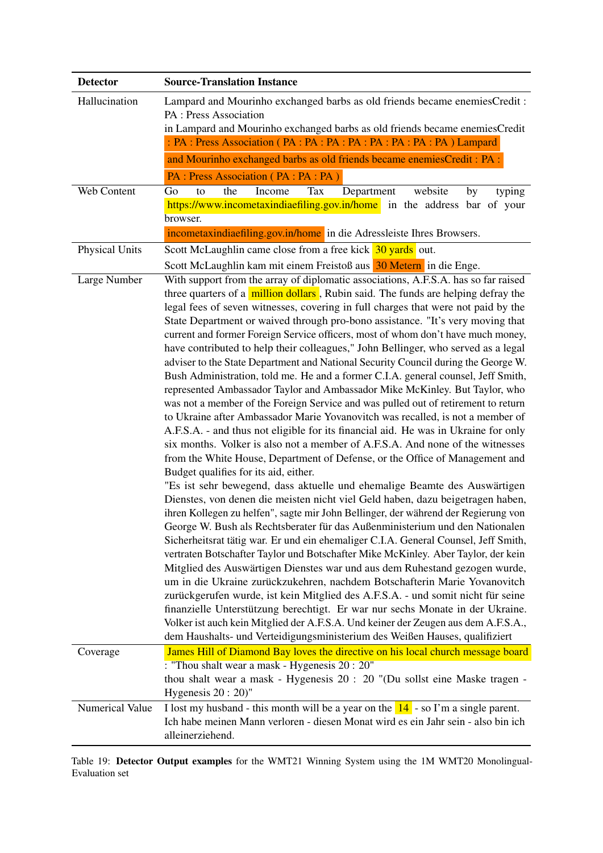<span id="page-14-0"></span>

| <b>Detector</b>       | <b>Source-Translation Instance</b>                                                                                                                                     |  |  |  |
|-----------------------|------------------------------------------------------------------------------------------------------------------------------------------------------------------------|--|--|--|
| Hallucination         | Lampard and Mourinho exchanged barbs as old friends became enemiesCredit:                                                                                              |  |  |  |
|                       | PA : Press Association                                                                                                                                                 |  |  |  |
|                       | in Lampard and Mourinho exchanged barbs as old friends became enemiesCredit                                                                                            |  |  |  |
|                       |                                                                                                                                                                        |  |  |  |
|                       | and Mourinho exchanged barbs as old friends became enemiesCredit: PA :<br>PA : Press Association (PA : PA : PA)                                                        |  |  |  |
| Web Content           | to<br>the<br>Income<br>Department<br>website<br>Go<br>Tax<br>by<br>typing                                                                                              |  |  |  |
|                       | https://www.incometaxindiaefiling.gov.in/home in the address bar of your                                                                                               |  |  |  |
|                       | browser.                                                                                                                                                               |  |  |  |
|                       | incometaxindiaefiling.gov.in/home in die Adressleiste Ihres Browsers.                                                                                                  |  |  |  |
| <b>Physical Units</b> | Scott McLaughlin came close from a free kick 30 yards out.                                                                                                             |  |  |  |
|                       | Scott McLaughlin kam mit einem Freistoß aus 30 Metern in die Enge.                                                                                                     |  |  |  |
| Large Number          | With support from the array of diplomatic associations, A.F.S.A. has so far raised                                                                                     |  |  |  |
|                       | three quarters of a million dollars, Rubin said. The funds are helping defray the<br>legal fees of seven witnesses, covering in full charges that were not paid by the |  |  |  |
|                       | State Department or waived through pro-bono assistance. "It's very moving that                                                                                         |  |  |  |
|                       | current and former Foreign Service officers, most of whom don't have much money,                                                                                       |  |  |  |
|                       | have contributed to help their colleagues," John Bellinger, who served as a legal                                                                                      |  |  |  |
|                       | adviser to the State Department and National Security Council during the George W.                                                                                     |  |  |  |
|                       | Bush Administration, told me. He and a former C.I.A. general counsel, Jeff Smith,<br>represented Ambassador Taylor and Ambassador Mike McKinley. But Taylor, who       |  |  |  |
|                       | was not a member of the Foreign Service and was pulled out of retirement to return                                                                                     |  |  |  |
|                       | to Ukraine after Ambassador Marie Yovanovitch was recalled, is not a member of                                                                                         |  |  |  |
|                       | A.F.S.A. - and thus not eligible for its financial aid. He was in Ukraine for only                                                                                     |  |  |  |
|                       | six months. Volker is also not a member of A.F.S.A. And none of the witnesses                                                                                          |  |  |  |
|                       | from the White House, Department of Defense, or the Office of Management and                                                                                           |  |  |  |
|                       | Budget qualifies for its aid, either.                                                                                                                                  |  |  |  |
|                       | "Es ist sehr bewegend, dass aktuelle und ehemalige Beamte des Auswärtigen<br>Dienstes, von denen die meisten nicht viel Geld haben, dazu beigetragen haben,            |  |  |  |
|                       | ihren Kollegen zu helfen", sagte mir John Bellinger, der während der Regierung von                                                                                     |  |  |  |
|                       | George W. Bush als Rechtsberater für das Außenministerium und den Nationalen                                                                                           |  |  |  |
|                       | Sicherheitsrat tätig war. Er und ein ehemaliger C.I.A. General Counsel, Jeff Smith,                                                                                    |  |  |  |
|                       | vertraten Botschafter Taylor und Botschafter Mike McKinley. Aber Taylor, der kein                                                                                      |  |  |  |
|                       | Mitglied des Auswärtigen Dienstes war und aus dem Ruhestand gezogen wurde,<br>um in die Ukraine zurückzukehren, nachdem Botschafterin Marie Yovanovitch                |  |  |  |
|                       | zurückgerufen wurde, ist kein Mitglied des A.F.S.A. - und somit nicht für seine                                                                                        |  |  |  |
|                       | finanzielle Unterstützung berechtigt. Er war nur sechs Monate in der Ukraine.                                                                                          |  |  |  |
|                       | Volker ist auch kein Mitglied der A.F.S.A. Und keiner der Zeugen aus dem A.F.S.A.,                                                                                     |  |  |  |
|                       | dem Haushalts- und Verteidigungsministerium des Weißen Hauses, qualifiziert                                                                                            |  |  |  |
| Coverage              | James Hill of Diamond Bay loves the directive on his local church message board                                                                                        |  |  |  |
|                       | : "Thou shalt wear a mask - Hygenesis 20 : 20"                                                                                                                         |  |  |  |
|                       | thou shalt wear a mask - Hygenesis 20 : 20 "(Du sollst eine Maske tragen -<br>Hygenesis $20:20$ "                                                                      |  |  |  |
| Numerical Value       | I lost my husband - this month will be a year on the $14$ - so I'm a single parent.                                                                                    |  |  |  |
|                       | Ich habe meinen Mann verloren - diesen Monat wird es ein Jahr sein - also bin ich                                                                                      |  |  |  |
|                       | alleinerziehend.                                                                                                                                                       |  |  |  |

Table 19: Detector Output examples for the WMT21 Winning System using the 1M WMT20 Monolingual-Evaluation set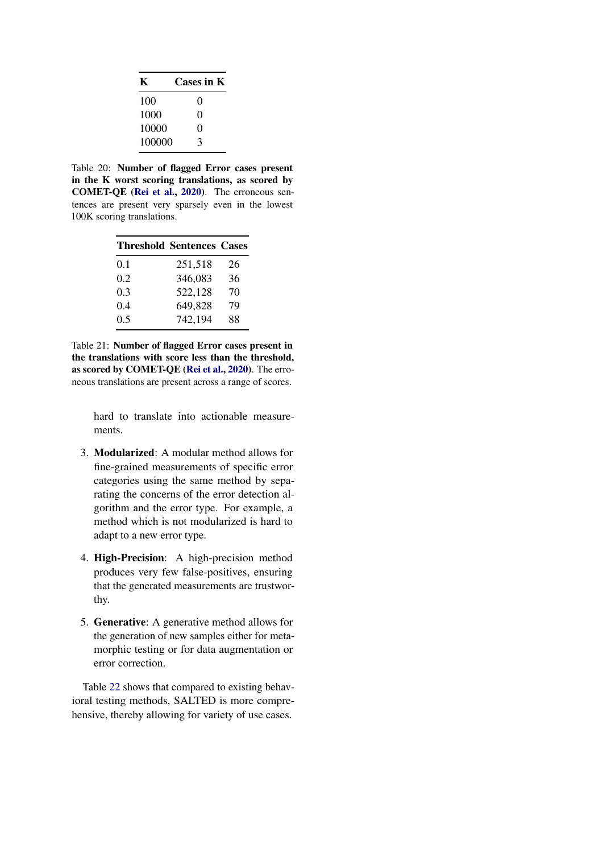<span id="page-15-0"></span>

| K      | Cases in K        |
|--------|-------------------|
| 100    | $\mathbf{\Omega}$ |
| 1000   | 0                 |
| 10000  | 0                 |
| 100000 | 3                 |

Table 20: Number of flagged Error cases present in the K worst scoring translations, as scored by COMET-QE [\(Rei et al.,](#page-9-0) [2020\)](#page-9-0). The erroneous sentences are present very sparsely even in the lowest 100K scoring translations.

<span id="page-15-1"></span>

|     | <b>Threshold Sentences Cases</b> |    |
|-----|----------------------------------|----|
| 0.1 | 251,518                          | 26 |
| 0.2 | 346,083                          | 36 |
| 0.3 | 522,128                          | 70 |
| 0.4 | 649,828                          | 79 |
| 0.5 | 742,194                          | 88 |

Table 21: Number of flagged Error cases present in the translations with score less than the threshold, as scored by COMET-QE [\(Rei et al.,](#page-9-0) [2020\)](#page-9-0). The erroneous translations are present across a range of scores.

> hard to translate into actionable measurements.

- 3. Modularized: A modular method allows for fine-grained measurements of specific error categories using the same method by separating the concerns of the error detection algorithm and the error type. For example, a method which is not modularized is hard to adapt to a new error type.
- 4. High-Precision: A high-precision method produces very few false-positives, ensuring that the generated measurements are trustworthy.
- 5. Generative: A generative method allows for the generation of new samples either for metamorphic testing or for data augmentation or error correction.

Table [22](#page-16-0) shows that compared to existing behavioral testing methods, SALTED is more comprehensive, thereby allowing for variety of use cases.